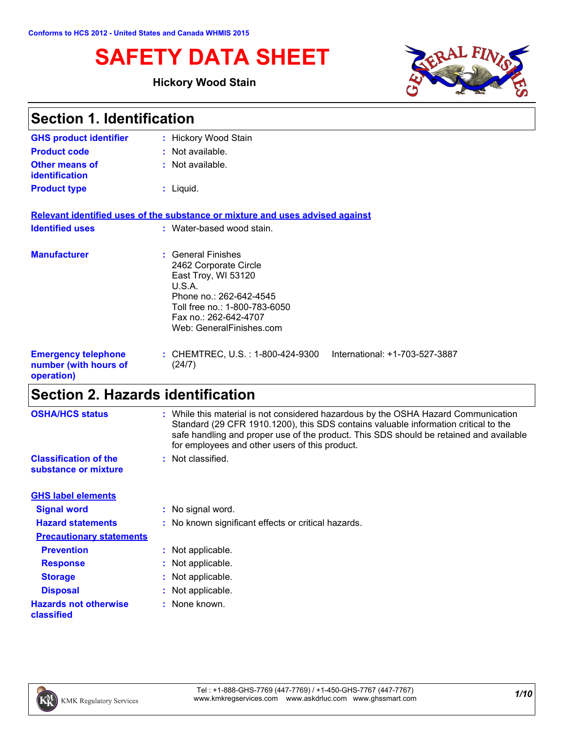# **SAFETY DATA SHEET**

### **Hickory Wood Stain**



| <b>Section 1. Identification</b>                                  |                                                                                                                                                                                               |  |
|-------------------------------------------------------------------|-----------------------------------------------------------------------------------------------------------------------------------------------------------------------------------------------|--|
| <b>GHS product identifier</b>                                     | : Hickory Wood Stain                                                                                                                                                                          |  |
| <b>Product code</b>                                               | : Not available.                                                                                                                                                                              |  |
| <b>Other means of</b><br>identification                           | : Not available.                                                                                                                                                                              |  |
| <b>Product type</b>                                               | $:$ Liquid.                                                                                                                                                                                   |  |
|                                                                   | Relevant identified uses of the substance or mixture and uses advised against                                                                                                                 |  |
| <b>Identified uses</b>                                            | : Water-based wood stain.                                                                                                                                                                     |  |
| <b>Manufacturer</b>                                               | : General Finishes<br>2462 Corporate Circle<br>East Troy, WI 53120<br>U.S.A.<br>Phone no.: 262-642-4545<br>Toll free no.: 1-800-783-6050<br>Fax no.: 262-642-4707<br>Web: GeneralFinishes.com |  |
| <b>Emergency telephone</b><br>number (with hours of<br>operation) | : CHEMTREC, U.S. : 1-800-424-9300<br>International: +1-703-527-3887<br>(24/7)                                                                                                                 |  |

# **Section 2. Hazards identification**

| <b>OSHA/HCS status</b>                               | : While this material is not considered hazardous by the OSHA Hazard Communication<br>Standard (29 CFR 1910.1200), this SDS contains valuable information critical to the<br>safe handling and proper use of the product. This SDS should be retained and available |
|------------------------------------------------------|---------------------------------------------------------------------------------------------------------------------------------------------------------------------------------------------------------------------------------------------------------------------|
|                                                      | for employees and other users of this product.                                                                                                                                                                                                                      |
| <b>Classification of the</b><br>substance or mixture | : Not classified.                                                                                                                                                                                                                                                   |
| <b>GHS label elements</b>                            |                                                                                                                                                                                                                                                                     |
| <b>Signal word</b>                                   | : No signal word.                                                                                                                                                                                                                                                   |
| <b>Hazard statements</b>                             | : No known significant effects or critical hazards.                                                                                                                                                                                                                 |
| <b>Precautionary statements</b>                      |                                                                                                                                                                                                                                                                     |
| <b>Prevention</b>                                    | : Not applicable.                                                                                                                                                                                                                                                   |
| <b>Response</b>                                      | : Not applicable.                                                                                                                                                                                                                                                   |
| <b>Storage</b>                                       | : Not applicable.                                                                                                                                                                                                                                                   |
| <b>Disposal</b>                                      | : Not applicable.                                                                                                                                                                                                                                                   |
| <b>Hazards not otherwise</b><br>classified           | : None known.                                                                                                                                                                                                                                                       |

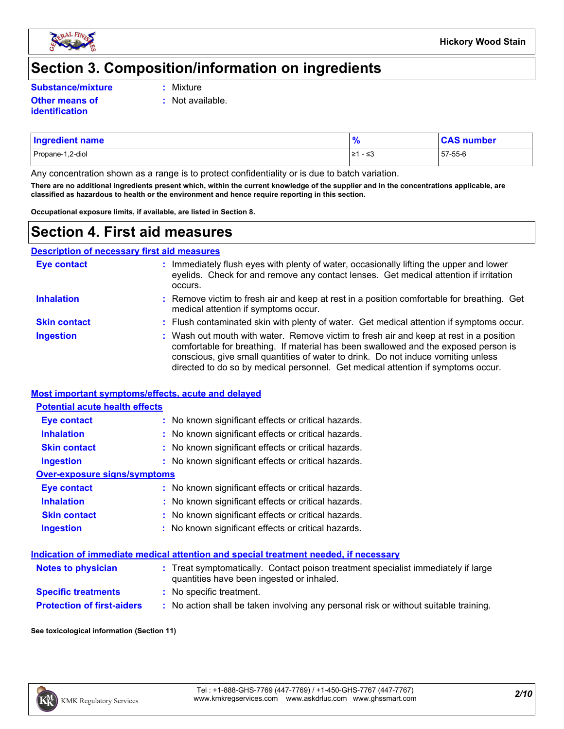

### **Section 3. Composition/information on ingredients**

**Substance/mixture :**

- Mixture
- **Other means of identification**
- **:** Not available.
- Propane-1,2-diol ≥1 ≤3 57-55-6 **Ingredient name % CAS number**

Any concentration shown as a range is to protect confidentiality or is due to batch variation.

**There are no additional ingredients present which, within the current knowledge of the supplier and in the concentrations applicable, are classified as hazardous to health or the environment and hence require reporting in this section.**

**Occupational exposure limits, if available, are listed in Section 8.**

### **Section 4. First aid measures**

**Description of necessary first aid measures**

| <b>Eye contact</b>  | : Immediately flush eyes with plenty of water, occasionally lifting the upper and lower<br>eyelids. Check for and remove any contact lenses. Get medical attention if irritation<br>occurs.                                                                                                                                                            |
|---------------------|--------------------------------------------------------------------------------------------------------------------------------------------------------------------------------------------------------------------------------------------------------------------------------------------------------------------------------------------------------|
| <b>Inhalation</b>   | : Remove victim to fresh air and keep at rest in a position comfortable for breathing. Get<br>medical attention if symptoms occur.                                                                                                                                                                                                                     |
| <b>Skin contact</b> | : Flush contaminated skin with plenty of water. Get medical attention if symptoms occur.                                                                                                                                                                                                                                                               |
| <b>Ingestion</b>    | : Wash out mouth with water. Remove victim to fresh air and keep at rest in a position<br>comfortable for breathing. If material has been swallowed and the exposed person is<br>conscious, give small quantities of water to drink. Do not induce vomiting unless<br>directed to do so by medical personnel. Get medical attention if symptoms occur. |

#### **Most important symptoms/effects, acute and delayed**

| <b>Potential acute health effects</b> |                                                     |
|---------------------------------------|-----------------------------------------------------|
| Eye contact                           | : No known significant effects or critical hazards. |
| <b>Inhalation</b>                     | : No known significant effects or critical hazards. |
| <b>Skin contact</b>                   | : No known significant effects or critical hazards. |
| <b>Ingestion</b>                      | : No known significant effects or critical hazards. |
| Over-exposure signs/symptoms          |                                                     |
| Eye contact                           | : No known significant effects or critical hazards. |
| <b>Inhalation</b>                     | : No known significant effects or critical hazards. |
| <b>Skin contact</b>                   | : No known significant effects or critical hazards. |
| <b>Ingestion</b>                      | : No known significant effects or critical hazards. |

#### **Indication of immediate medical attention and special treatment needed, if necessary**

| <b>Notes to physician</b>         | : Treat symptomatically. Contact poison treatment specialist immediately if large<br>quantities have been ingested or inhaled. |
|-----------------------------------|--------------------------------------------------------------------------------------------------------------------------------|
| <b>Specific treatments</b>        | : No specific treatment.                                                                                                       |
| <b>Protection of first-aiders</b> | No action shall be taken involving any personal risk or without suitable training.                                             |

#### **See toxicological information (Section 11)**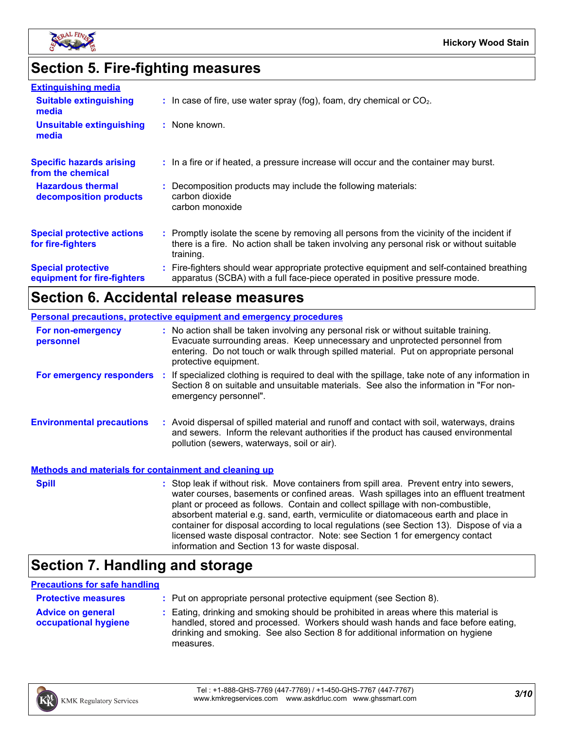

# **Section 5. Fire-fighting measures**

| <b>Extinguishing media</b>                               |                                                                                                                                                                                                     |
|----------------------------------------------------------|-----------------------------------------------------------------------------------------------------------------------------------------------------------------------------------------------------|
| <b>Suitable extinguishing</b><br>media                   | $\therefore$ In case of fire, use water spray (fog), foam, dry chemical or CO <sub>2</sub> .                                                                                                        |
| <b>Unsuitable extinguishing</b><br>media                 | : None known.                                                                                                                                                                                       |
| <b>Specific hazards arising</b><br>from the chemical     | : In a fire or if heated, a pressure increase will occur and the container may burst.                                                                                                               |
| <b>Hazardous thermal</b><br>decomposition products       | : Decomposition products may include the following materials:<br>carbon dioxide<br>carbon monoxide                                                                                                  |
| <b>Special protective actions</b><br>for fire-fighters   | : Promptly isolate the scene by removing all persons from the vicinity of the incident if<br>there is a fire. No action shall be taken involving any personal risk or without suitable<br>training. |
| <b>Special protective</b><br>equipment for fire-fighters | : Fire-fighters should wear appropriate protective equipment and self-contained breathing<br>apparatus (SCBA) with a full face-piece operated in positive pressure mode.                            |

### **Section 6. Accidental release measures**

| <b>Personal precautions, protective equipment and emergency procedures</b> |  |                                                                                                                                                                                                                                                                                                                                                                                                                                                                                                                                                                                            |
|----------------------------------------------------------------------------|--|--------------------------------------------------------------------------------------------------------------------------------------------------------------------------------------------------------------------------------------------------------------------------------------------------------------------------------------------------------------------------------------------------------------------------------------------------------------------------------------------------------------------------------------------------------------------------------------------|
| For non-emergency<br>personnel                                             |  | : No action shall be taken involving any personal risk or without suitable training.<br>Evacuate surrounding areas. Keep unnecessary and unprotected personnel from<br>entering. Do not touch or walk through spilled material. Put on appropriate personal<br>protective equipment.                                                                                                                                                                                                                                                                                                       |
| For emergency responders :                                                 |  | If specialized clothing is required to deal with the spillage, take note of any information in<br>Section 8 on suitable and unsuitable materials. See also the information in "For non-<br>emergency personnel".                                                                                                                                                                                                                                                                                                                                                                           |
| <b>Environmental precautions</b>                                           |  | : Avoid dispersal of spilled material and runoff and contact with soil, waterways, drains<br>and sewers. Inform the relevant authorities if the product has caused environmental<br>pollution (sewers, waterways, soil or air).                                                                                                                                                                                                                                                                                                                                                            |
| <b>Methods and materials for containment and cleaning up</b>               |  |                                                                                                                                                                                                                                                                                                                                                                                                                                                                                                                                                                                            |
| <b>Spill</b>                                                               |  | : Stop leak if without risk. Move containers from spill area. Prevent entry into sewers,<br>water courses, basements or confined areas. Wash spillages into an effluent treatment<br>plant or proceed as follows. Contain and collect spillage with non-combustible,<br>absorbent material e.g. sand, earth, vermiculite or diatomaceous earth and place in<br>container for disposal according to local regulations (see Section 13). Dispose of via a<br>licensed waste disposal contractor. Note: see Section 1 for emergency contact<br>information and Section 13 for waste disposal. |

# **Section 7. Handling and storage**

#### **Precautions for safe handling**

| <b>Protective measures</b>                       | : Put on appropriate personal protective equipment (see Section 8).                                                                                                                                                                                                    |
|--------------------------------------------------|------------------------------------------------------------------------------------------------------------------------------------------------------------------------------------------------------------------------------------------------------------------------|
| <b>Advice on general</b><br>occupational hygiene | : Eating, drinking and smoking should be prohibited in areas where this material is<br>handled, stored and processed. Workers should wash hands and face before eating,<br>drinking and smoking. See also Section 8 for additional information on hygiene<br>measures. |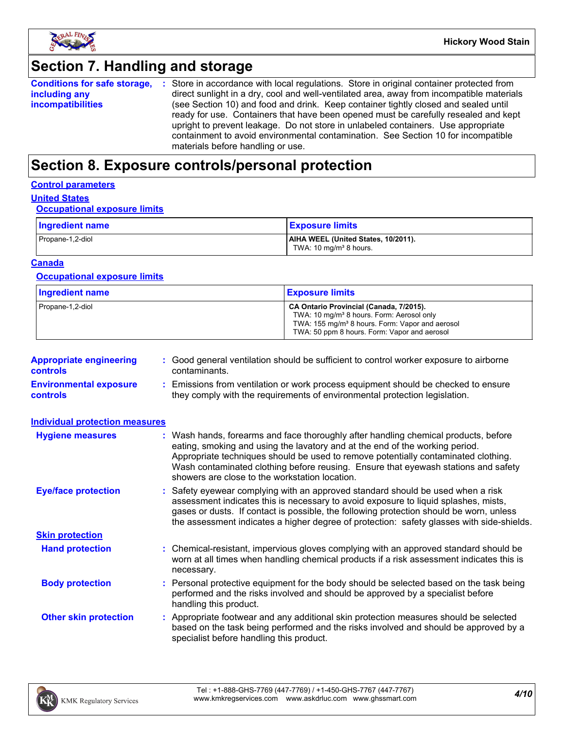

### **Section 7. Handling and storage**

|                          | <b>Conditions for safe storage, :</b> Store in accordance with local regulations. Store in original container protected from |
|--------------------------|------------------------------------------------------------------------------------------------------------------------------|
| including any            | direct sunlight in a dry, cool and well-ventilated area, away from incompatible materials                                    |
| <b>incompatibilities</b> | (see Section 10) and food and drink. Keep container tightly closed and sealed until                                          |
|                          | ready for use. Containers that have been opened must be carefully resealed and kept                                          |
|                          | upright to prevent leakage. Do not store in unlabeled containers. Use appropriate                                            |
|                          | containment to avoid environmental contamination. See Section 10 for incompatible                                            |
|                          | materials before handling or use.                                                                                            |

## **Section 8. Exposure controls/personal protection**

#### **Control parameters**

### **United States**

#### **Occupational exposure limits**

| <b>Ingredient name</b> | <b>Exposure limits</b>                                                    |
|------------------------|---------------------------------------------------------------------------|
| Propane-1,2-diol       | AIHA WEEL (United States, 10/2011).<br>TWA: 10 mg/m <sup>3</sup> 8 hours. |

#### **Canada**

#### **Occupational exposure limits**

| <b>Ingredient name</b> | <b>Exposure limits</b>                                                                                                                                                                                          |
|------------------------|-----------------------------------------------------------------------------------------------------------------------------------------------------------------------------------------------------------------|
| Propane-1,2-diol       | CA Ontario Provincial (Canada, 7/2015).<br>TWA: 10 mg/m <sup>3</sup> 8 hours. Form: Aerosol only<br>TWA: 155 mg/m <sup>3</sup> 8 hours. Form: Vapor and aerosol<br>TWA: 50 ppm 8 hours. Form: Vapor and aerosol |

| <b>Appropriate engineering</b><br><b>controls</b> | : Good general ventilation should be sufficient to control worker exposure to airborne<br>contaminants.                                                          |
|---------------------------------------------------|------------------------------------------------------------------------------------------------------------------------------------------------------------------|
| <b>Environmental exposure</b><br><b>controls</b>  | : Emissions from ventilation or work process equipment should be checked to ensure<br>they comply with the requirements of environmental protection legislation. |

| <b>Individual protection measures</b> |                                                                                                                                                                                                                                                                                                                                                                                                   |
|---------------------------------------|---------------------------------------------------------------------------------------------------------------------------------------------------------------------------------------------------------------------------------------------------------------------------------------------------------------------------------------------------------------------------------------------------|
| <b>Hygiene measures</b>               | : Wash hands, forearms and face thoroughly after handling chemical products, before<br>eating, smoking and using the lavatory and at the end of the working period.<br>Appropriate techniques should be used to remove potentially contaminated clothing.<br>Wash contaminated clothing before reusing. Ensure that eyewash stations and safety<br>showers are close to the workstation location. |
| <b>Eye/face protection</b>            | : Safety eyewear complying with an approved standard should be used when a risk<br>assessment indicates this is necessary to avoid exposure to liquid splashes, mists,<br>gases or dusts. If contact is possible, the following protection should be worn, unless<br>the assessment indicates a higher degree of protection: safety glasses with side-shields.                                    |
| <b>Skin protection</b>                |                                                                                                                                                                                                                                                                                                                                                                                                   |
| <b>Hand protection</b>                | : Chemical-resistant, impervious gloves complying with an approved standard should be<br>worn at all times when handling chemical products if a risk assessment indicates this is<br>necessary.                                                                                                                                                                                                   |
| <b>Body protection</b>                | : Personal protective equipment for the body should be selected based on the task being<br>performed and the risks involved and should be approved by a specialist before<br>handling this product.                                                                                                                                                                                               |
| <b>Other skin protection</b>          | : Appropriate footwear and any additional skin protection measures should be selected<br>based on the task being performed and the risks involved and should be approved by a<br>specialist before handling this product.                                                                                                                                                                         |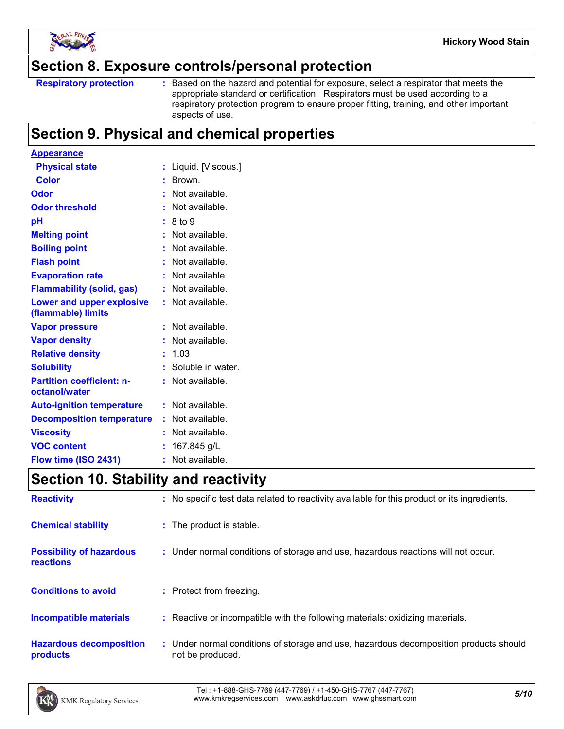

### **Section 8. Exposure controls/personal protection**

Based on the hazard and potential for exposure, select a respirator that meets the appropriate standard or certification. Respirators must be used according to a respiratory protection program to ensure proper fitting, training, and other important aspects of use.

### **Section 9. Physical and chemical properties**

| <b>Appearance</b>                                 |                         |
|---------------------------------------------------|-------------------------|
| <b>Physical state</b>                             | Liquid. [Viscous.]<br>t |
| <b>Color</b>                                      | Brown.<br>t.            |
| Odor                                              | Not available.<br>÷.    |
| <b>Odor threshold</b>                             | Not available.          |
| рH                                                | 8 to 9                  |
| <b>Melting point</b>                              | Not available.          |
| <b>Boiling point</b>                              | Not available.<br>t.    |
| <b>Flash point</b>                                | Not available.<br>t.    |
| <b>Evaporation rate</b>                           | Not available.          |
| <b>Flammability (solid, gas)</b>                  | Not available.          |
| Lower and upper explosive<br>(flammable) limits   | : Not available.        |
| <b>Vapor pressure</b>                             | Not available.<br>t     |
| <b>Vapor density</b>                              | t.<br>Not available.    |
| <b>Relative density</b>                           | 1.03<br>t.              |
| <b>Solubility</b>                                 | Soluble in water.<br>t. |
| <b>Partition coefficient: n-</b><br>octanol/water | Not available.          |
| <b>Auto-ignition temperature</b>                  | $:$ Not available.      |
| <b>Decomposition temperature</b>                  | : Not available.        |
| <b>Viscosity</b>                                  | Not available.          |
| <b>VOC content</b>                                | 167.845 g/L<br>t        |
| Flow time (ISO 2431)                              | Not available.<br>ŧ     |

## **Section 10. Stability and reactivity**

| <b>Reactivity</b>                            | : No specific test data related to reactivity available for this product or its ingredients.              |
|----------------------------------------------|-----------------------------------------------------------------------------------------------------------|
| <b>Chemical stability</b>                    | : The product is stable.                                                                                  |
| <b>Possibility of hazardous</b><br>reactions | : Under normal conditions of storage and use, hazardous reactions will not occur.                         |
| <b>Conditions to avoid</b>                   | : Protect from freezing.                                                                                  |
| <b>Incompatible materials</b>                | : Reactive or incompatible with the following materials: oxidizing materials.                             |
| <b>Hazardous decomposition</b><br>products   | : Under normal conditions of storage and use, hazardous decomposition products should<br>not be produced. |

*5/10* Tel : +1-888-GHS-7769 (447-7769) / +1-450-GHS-7767 (447-7767) www.kmkregservices.com www.askdrluc.com www.ghssmart.com

**Respiratory protection :**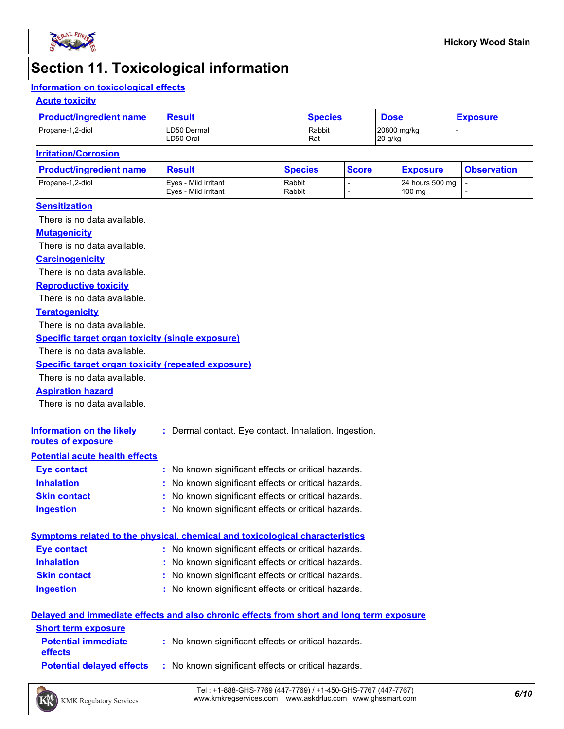

# **Section 11. Toxicological information**

#### **Information on toxicological effects**

#### **Acute toxicity**

| <b>Product/ingredient name</b> | <b>Result</b>            | <b>Species</b> | <b>Dose</b>            | <b>Exposure</b> |
|--------------------------------|--------------------------|----------------|------------------------|-----------------|
| Propane-1,2-diol               | LD50 Dermal<br>LD50 Oral | Rabbit<br>Rat  | 20800 mg/kg<br>20 g/kg |                 |

#### **Irritation/Corrosion**

| <b>Product/ingredient name</b> | <b>Result</b>                                | <b>Species</b>   | <b>Score</b> | <u>  Exposure</u>         | <b>Observation</b> |
|--------------------------------|----------------------------------------------|------------------|--------------|---------------------------|--------------------|
| Propane-1,2-diol               | Eves - Mild irritant<br>Eves - Mild irritant | Rabbit<br>Rabbit |              | 24 hours 500 mg<br>100 mg |                    |
|                                |                                              |                  |              |                           |                    |

#### **Sensitization**

There is no data available.

#### **Mutagenicity**

There is no data available.

#### **Carcinogenicity**

There is no data available.

#### **Reproductive toxicity**

There is no data available.

#### **Teratogenicity**

There is no data available.

#### **Specific target organ toxicity (single exposure)**

There is no data available.

#### **Specific target organ toxicity (repeated exposure)**

There is no data available.

#### **Aspiration hazard**

There is no data available.

| Information on the likely<br>routes of exposure | : Dermal contact. Eye contact. Inhalation. Ingestion. |
|-------------------------------------------------|-------------------------------------------------------|
| <b>Potential acute health effects</b>           |                                                       |
| <b>Eye contact</b>                              | : No known significant effects or critical hazards.   |
| <b>Inhalation</b>                               | : No known significant effects or critical hazards.   |
| <b>Skin contact</b>                             | : No known significant effects or critical hazards.   |

#### **Ingestion :** No known significant effects or critical hazards.

|                     | Symptoms related to the physical, chemical and toxicological characteristics |  |
|---------------------|------------------------------------------------------------------------------|--|
| Eye contact         | : No known significant effects or critical hazards.                          |  |
| <b>Inhalation</b>   | : No known significant effects or critical hazards.                          |  |
| <b>Skin contact</b> | : No known significant effects or critical hazards.                          |  |
| <b>Ingestion</b>    | : No known significant effects or critical hazards.                          |  |

#### **Delayed and immediate effects and also chronic effects from short and long term exposure**

| <b>Short term exposure</b>                   |                                                     |
|----------------------------------------------|-----------------------------------------------------|
| <b>Potential immediate</b><br><b>effects</b> | : No known significant effects or critical hazards. |
| <b>Potential delaved effects</b>             | : No known significant effects or critical hazards. |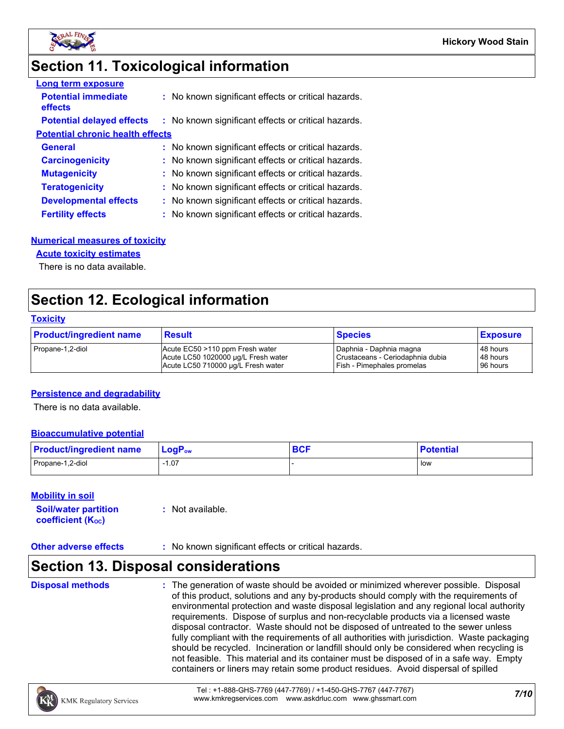

### **Section 11. Toxicological information**

| <b>Long term exposure</b>               |                                                     |
|-----------------------------------------|-----------------------------------------------------|
| <b>Potential immediate</b><br>effects   | : No known significant effects or critical hazards. |
| <b>Potential delayed effects</b>        | : No known significant effects or critical hazards. |
| <b>Potential chronic health effects</b> |                                                     |
| <b>General</b>                          | : No known significant effects or critical hazards. |
| <b>Carcinogenicity</b>                  | : No known significant effects or critical hazards. |
| <b>Mutagenicity</b>                     | : No known significant effects or critical hazards. |
| <b>Teratogenicity</b>                   | : No known significant effects or critical hazards. |
| <b>Developmental effects</b>            | : No known significant effects or critical hazards. |
| <b>Fertility effects</b>                | : No known significant effects or critical hazards. |

#### **Numerical measures of toxicity**

#### **Acute toxicity estimates**

There is no data available.

### **Section 12. Ecological information**

#### **Toxicity**

| <b>Product/ingredient name</b> | <b>Result</b>                       | <b>Species</b>                   | <b>Exposure</b> |
|--------------------------------|-------------------------------------|----------------------------------|-----------------|
| Propane-1,2-diol               | Acute EC50 >110 ppm Fresh water     | I Daphnia - Daphnia magna        | 48 hours        |
|                                | Acute LC50 1020000 ug/L Fresh water | Crustaceans - Ceriodaphnia dubia | 48 hours        |
|                                | Acute LC50 710000 ug/L Fresh water  | Fish - Pimephales promelas       | 96 hours        |

#### **Persistence and degradability**

There is no data available.

#### **Bioaccumulative potential**

| <b>Product/ingredient name</b> | $LogPow$ | <b>DAC</b><br><b>DUI</b> | <b>Potential</b> |
|--------------------------------|----------|--------------------------|------------------|
| Propane-1,2-diol               | 07، ا    |                          | l low            |

#### **Mobility in soil**

| <b>Soil/water partition</b> | : Not available. |
|-----------------------------|------------------|
| <b>coefficient (Koc)</b>    |                  |

#### **Other adverse effects** : No known significant effects or critical hazards.

### **Section 13. Disposal considerations**

**Disposal methods :**

The generation of waste should be avoided or minimized wherever possible. Disposal of this product, solutions and any by-products should comply with the requirements of environmental protection and waste disposal legislation and any regional local authority requirements. Dispose of surplus and non-recyclable products via a licensed waste disposal contractor. Waste should not be disposed of untreated to the sewer unless fully compliant with the requirements of all authorities with jurisdiction. Waste packaging should be recycled. Incineration or landfill should only be considered when recycling is not feasible. This material and its container must be disposed of in a safe way. Empty containers or liners may retain some product residues. Avoid dispersal of spilled

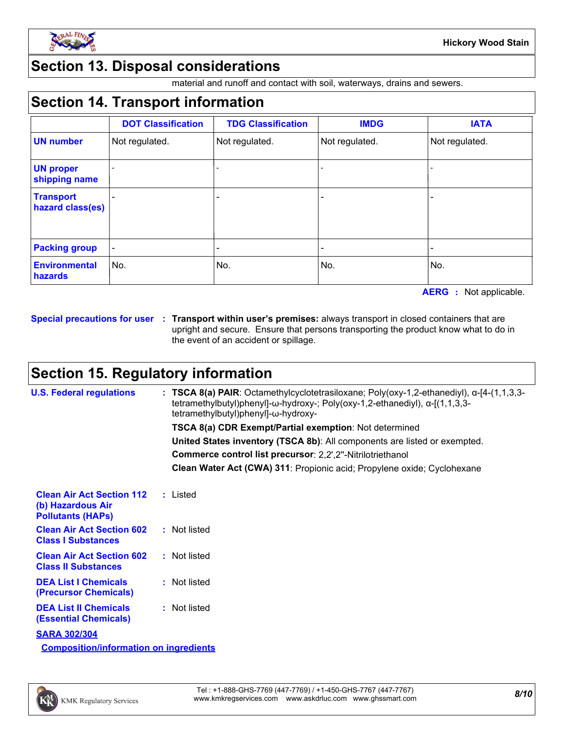

### **Section 13. Disposal considerations**

material and runoff and contact with soil, waterways, drains and sewers.

### **Section 14. Transport information**

|                                      | <b>DOT Classification</b> | <b>TDG Classification</b> | <b>IMDG</b>    | <b>IATA</b>    |
|--------------------------------------|---------------------------|---------------------------|----------------|----------------|
| <b>UN number</b>                     | Not regulated.            | Not regulated.            | Not regulated. | Not regulated. |
| <b>UN proper</b><br>shipping name    |                           |                           |                |                |
| <b>Transport</b><br>hazard class(es) |                           |                           |                |                |
| <b>Packing group</b>                 |                           |                           |                |                |
| <b>Environmental</b><br>hazards      | No.                       | No.                       | No.            | No.            |

**AERG :** Not applicable.

**Special precautions for user Transport within user's premises:** always transport in closed containers that are **:** upright and secure. Ensure that persons transporting the product know what to do in the event of an accident or spillage.

### **Section 15. Regulatory information**

| <b>U.S. Federal regulations</b>                                                   | : TSCA 8(a) PAIR: Octamethylcyclotetrasiloxane; Poly(oxy-1,2-ethanediyl), $\alpha$ -[4-(1,1,3,3-<br>tetramethylbutyl)phenyl]- $\omega$ -hydroxy-; Poly(oxy-1,2-ethanediyl), $\alpha$ -[(1,1,3,3-<br>tetramethylbutyl)phenyl]-ω-hydroxy- |
|-----------------------------------------------------------------------------------|-----------------------------------------------------------------------------------------------------------------------------------------------------------------------------------------------------------------------------------------|
|                                                                                   | <b>TSCA 8(a) CDR Exempt/Partial exemption: Not determined</b>                                                                                                                                                                           |
|                                                                                   | United States inventory (TSCA 8b): All components are listed or exempted.                                                                                                                                                               |
|                                                                                   | Commerce control list precursor: 2,2',2"-Nitrilotriethanol                                                                                                                                                                              |
|                                                                                   | Clean Water Act (CWA) 311: Propionic acid; Propylene oxide; Cyclohexane                                                                                                                                                                 |
| <b>Clean Air Act Section 112</b><br>(b) Hazardous Air<br><b>Pollutants (HAPs)</b> | : Listed                                                                                                                                                                                                                                |
| <b>Clean Air Act Section 602</b><br><b>Class I Substances</b>                     | : Not listed                                                                                                                                                                                                                            |
| <b>Clean Air Act Section 602</b><br><b>Class II Substances</b>                    | : Not listed                                                                                                                                                                                                                            |
| <b>DEA List I Chemicals</b><br><b>(Precursor Chemicals)</b>                       | : Not listed                                                                                                                                                                                                                            |
| <b>DEA List II Chemicals</b><br><b>(Essential Chemicals)</b>                      | : Not listed                                                                                                                                                                                                                            |
| <b>SARA 302/304</b>                                                               |                                                                                                                                                                                                                                         |
| <b>Composition/information on ingredients</b>                                     |                                                                                                                                                                                                                                         |

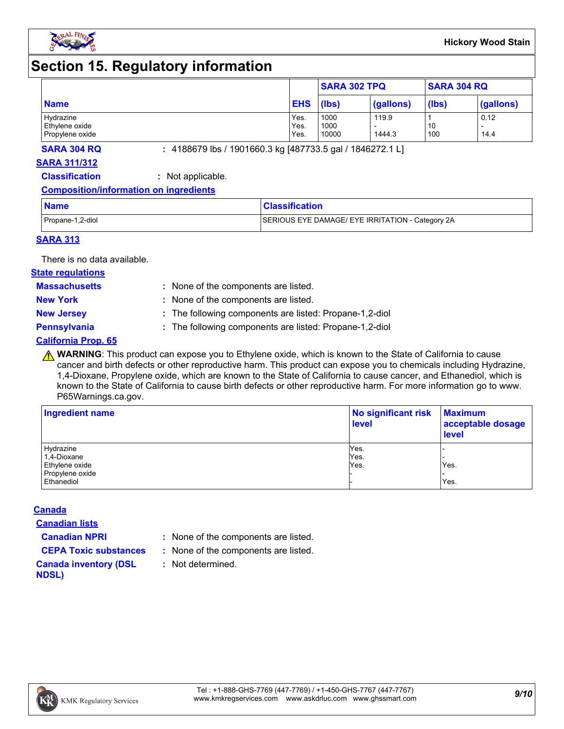

### **Section 15. Regulatory information**

|                                                |                      | <b>SARA 302 TPQ</b>   |                 | <b>SARA 304 RQ</b> |              |
|------------------------------------------------|----------------------|-----------------------|-----------------|--------------------|--------------|
| <b>Name</b>                                    | <b>EHS</b>           | (lbs)                 | (gallons)       | (lbs)              | (gallons)    |
| Hydrazine<br>Ethylene oxide<br>Propylene oxide | Yes.<br>Yes.<br>Yes. | 1000<br>1000<br>10000 | 119.9<br>1444.3 | 10<br>100          | 0.12<br>14.4 |

**SARA 304 RQ :** 4188679 lbs / 1901660.3 kg [487733.5 gal / 1846272.1 L]

#### **SARA 311/312**

**Classification :** Not applicable.

#### **Composition/information on ingredients**

| <b>Name</b>      | <b>Classification</b>                            |
|------------------|--------------------------------------------------|
| Propane-1,2-diol | SERIOUS EYE DAMAGE/ EYE IRRITATION - Category 2A |

#### **SARA 313**

There is no data available.

#### **State regulations**

**Massachusetts :**

- : None of the components are listed. **New York :** None of the components are listed.
- 
- **New Jersey :** The following components are listed: Propane-1,2-diol

**Pennsylvania :** The following components are listed: Propane-1,2-diol

#### **California Prop. 65**

**A WARNING**: This product can expose you to Ethylene oxide, which is known to the State of California to cause cancer and birth defects or other reproductive harm. This product can expose you to chemicals including Hydrazine, 1,4-Dioxane, Propylene oxide, which are known to the State of California to cause cancer, and Ethanediol, which is known to the State of California to cause birth defects or other reproductive harm. For more information go to www. P65Warnings.ca.gov.

| Ingredient name | No significant risk<br><b>level</b> | <b>Maximum</b><br>acceptable dosage<br><b>level</b> |  |
|-----------------|-------------------------------------|-----------------------------------------------------|--|
| Hydrazine       | Yes.                                |                                                     |  |
| 1,4-Dioxane     | Yes.                                |                                                     |  |
| Ethylene oxide  | Yes.                                | Yes.                                                |  |
| Propylene oxide |                                     |                                                     |  |
| Ethanediol      |                                     | Yes.                                                |  |

#### **Canada**

**Canadian lists**

- **Canadian NPRI :** None of the components are listed.
- **CEPA Toxic substances :** None of the components are listed.
	- **:** Not determined.

**Canada inventory (DSL NDSL)**